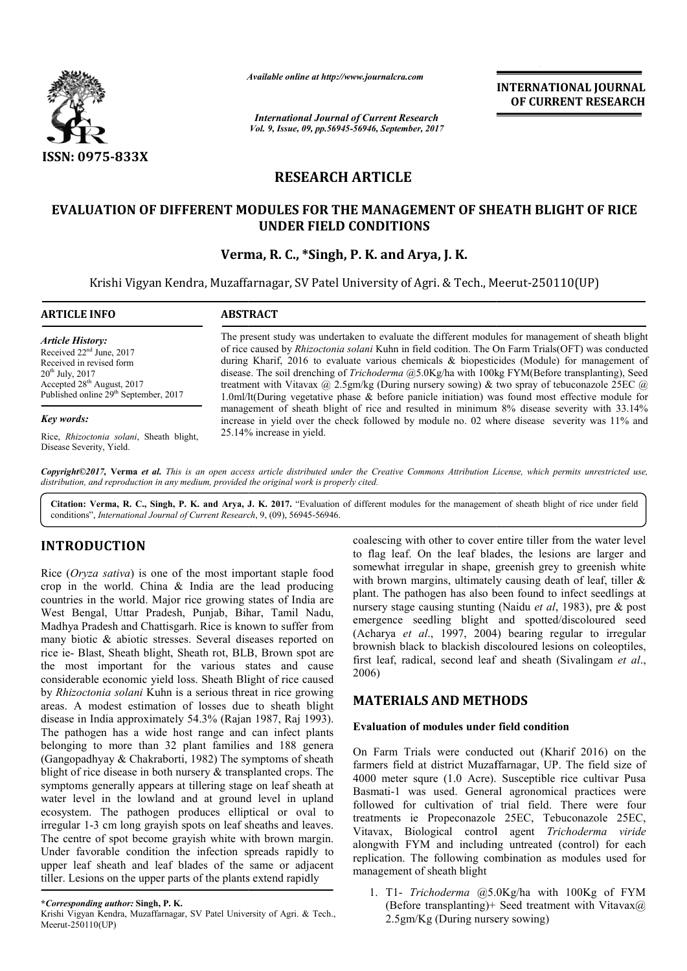

*Available online at http://www.journal http://www.journalcra.com*

*International Journal of Current Research Vol. 9, Issue, 09, pp.56945-56946, September, 2017* **INTERNATIONAL JOURNAL OF CURRENT RESEARCH** 

# **RESEARCH ARTICLE**

## **EVALUATION OF DIFFERENT MODULES FOR THE MANAGEMENT OF SHEATH BLIGHT OF RICE OF SHEATH BLIGHT OF RICE UNDER FIELD CONDITIONS**

## **Verma, R. C., \*Singh, P. K. and Arya, J. K.**

Krishi Vigyan Kendra, Muzaffarnagar, SV Patel University of Agri. & Tech., Meerut-250110(UP)

| <b>ARTICLE INFO</b>                                                                                                                                                                                                  | <b>ABSTRACT</b>                                                                                                                                                                                                                                                                                                                                                                                                                                                                                                                                                                                                                      |  |  |  |  |
|----------------------------------------------------------------------------------------------------------------------------------------------------------------------------------------------------------------------|--------------------------------------------------------------------------------------------------------------------------------------------------------------------------------------------------------------------------------------------------------------------------------------------------------------------------------------------------------------------------------------------------------------------------------------------------------------------------------------------------------------------------------------------------------------------------------------------------------------------------------------|--|--|--|--|
| <b>Article History:</b><br>Received 22 <sup>nd</sup> June, 2017<br>Received in revised form<br>$20^{th}$ July, $2017$<br>Accepted 28 <sup>th</sup> August, 2017<br>Published online 29 <sup>th</sup> September, 2017 | The present study was undertaken to evaluate the different modules for management of sheath blight<br>of rice caused by <i>Rhizoctonia solani</i> Kuhn in field codition. The On Farm Trials(OFT) was conducted<br>during Kharif, 2016 to evaluate various chemicals $\&$ biopesticides (Module) for management of<br>disease. The soil drenching of <i>Trichoderma</i> @5.0Kg/ha with 100kg FYM(Before transplanting), Seed<br>treatment with Vitavax @ 2.5gm/kg (During nursery sowing) & two spray of tebuconazole 25EC @<br>1.0ml/lt(During vegetative phase $\&$ before panicle initiation) was found most effective module for |  |  |  |  |
| Key words:                                                                                                                                                                                                           | management of sheath blight of rice and resulted in minimum 8% disease severity with 33.14%<br>increase in yield over the check followed by module no. 02 where disease severity was 11% and                                                                                                                                                                                                                                                                                                                                                                                                                                         |  |  |  |  |
| Rice, Rhizoctonia solani, Sheath blight,<br>Disease Severity, Yield.                                                                                                                                                 | 25.14% increase in yield.                                                                                                                                                                                                                                                                                                                                                                                                                                                                                                                                                                                                            |  |  |  |  |

*Copyright©2017,* **Verma** *et al. This is an open access article distributed under the Creative Commons Att Attribution License, which ribution License, permits unrestricted use, distribution, and reproduction in any medium, provided the original work is properly cited.*

Citation: Verma, R. C., Singh, P. K. and Arya, J. K. 2017. "Evaluation of different modules for the management of sheath blight of rice under field conditions", *International Journal of Current Research* , 9, (09), 56945-56946.

# **INTRODUCTION**

Rice (*Oryza sativa*) is one of the most important staple food crop in the world. China & India are the lead producing countries in the world. Major rice growing states of India are West Bengal, Uttar Pradesh, Punjab, Bihar, Tamil Nadu, Madhya Pradesh and Chattisgarh. Rice is known to suffer from many biotic & abiotic stresses. Several diseases reported on rice ie- Blast, Sheath blight, Sheath rot, BLB, Brown spot are the most important for the various states and cause considerable economic yield loss. Sheath Blight of rice caused by *Rhizoctonia solani* Kuhn is a serious threat in rice growing areas. A modest estimation of losses due to sheath blight disease in India approximately 54.3% (Rajan 1987, Raj 1993). The pathogen has a wide host range and can infect plants belonging to more than 32 plant families and 188 genera (Gangopadhyay & Chakraborti, 1982) The symptoms of sheath blight of rice disease in both nursery & transplanted crops. The symptoms generally appears at tillering stage on leaf sheath at water level in the lowland and at ground level in upland ecosystem. The pathogen produces elliptical or oval to ecosystem. The pathogen produces elliptical or oval to irregular 1-3 cm long grayish spots on leaf sheaths and leaves. The centre of spot become grayish white with brown margin. Under favorable condition the infection spreads rapidly to upper leaf sheath and leaf blades of the same or adjacent tiller. Lesions on the upper parts of the plants extend rapidly

coalescing with other to cover entire tiller from the water level<br>
important staple food somewhat irregular in shape, greenish grey to greenish white<br>
the lead producing<br>
orient the lead producing with brown margins, ultim to flag leaf. On the leaf blades, the lesions are larger and somewhat irregular in shape, greenish grey to greenish white with brown margins, ultimately causing death of leaf, tiller & plant. The pathogen has also been found to infect seedlings at nursery stage causing stunting (Naidu et al, 1983), pre & post emergence seedling blight and spotted/discoloured seed (Acharya *et al*., 1997, 2004) bearing regular to irregular brownish black to blackish discoloured lesions on coleoptiles, brownish black to blackish discoloured lesions on coleoptiles, first leaf, radical, second leaf and sheath *(Sivalingam et al.,* 2006) r to cover entire tiller from the water level<br>leaf blades, the lesions are larger and<br>in shape, greenish grey to greenish white<br>ultimately causing death of leaf, tiller &<br>has also been found to infect seedlings at

### **MATERIALS AND METHODS METHODS**

### **Evaluation of modules under field condition**

On Farm Trials were conducted out (Kharif 2016) on the farmers field at district Muzaffarnagar, UP. The field size of 4000 meter squre (1.0 Acre). Susceptible rice cultivar Pusa Basmati-1 was used. General agronomical practices were followed for cultivation of trial field. There were four treatments ie Propeconazole 25EC, Tebuconazole 25EC, Vitavax, Biological control agent *Trichoderma viride* alongwith FYM and including untreated (control) for each replication. The following combination as modules used for management of sheath blight m Trials were conducted out (Kharif 2016) on the field at district Muzaffarnagar, UP. The field size of ter squre (1.0 Acre). Susceptible rice cultivar Pusa 1 was used. General agronomical practices were four lot of trial FYM and including untreated (control) for each<br>tion. The following combination as modules used for<br>ement of sheath blight<br>T1- *Trichoderma* @5.0Kg/ha with 100Kg of FYM<br>(Before transplanting)+ Seed treatment with Vitavax@

1. T1- *Trichoderma* @5.0Kg/ha with 100Kg of FYM (Before transplanting)+ Seed treatment with Vitavax $\omega$ 2.5gm/Kg (During nursery sowing)

**<sup>\*</sup>***Corresponding author:* **Singh, P. K.**

Krishi Vigyan Kendra, Muzaffarnagar, SV Patel University of Agri. & Tech., Meerut-250110(UP)